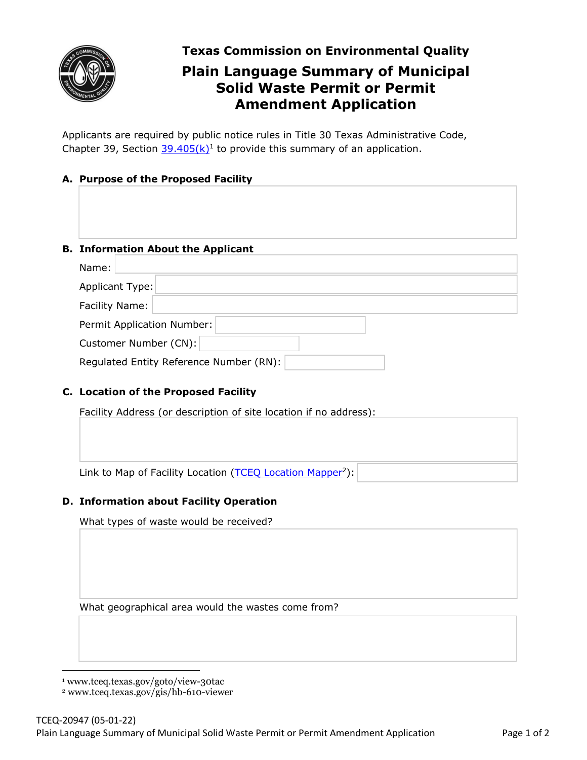

**Texas Commission on Environmental Quality** 

# **Plain Language Summary of Municipal Solid Waste Permit or Permit Amendment Application**

Applicants are required by public notice rules in Title 30 Texas Administrative Code, Chapter 39, Section  $39.405(k)^1$  $39.405(k)^1$  $39.405(k)^1$  to provide this summary of an application.

# **A. Purpose of the Proposed Facility**

### **B. Information About the Applicant**

| Name:                                   |  |
|-----------------------------------------|--|
| Applicant Type:                         |  |
| Facility Name:                          |  |
| Permit Application Number:              |  |
| Customer Number (CN):                   |  |
| Regulated Entity Reference Number (RN): |  |

## **C. Location of the Proposed Facility**

Facility Address (or description of site location if no address):

Link to Map of Facility Location ([TCEQ Location Mapper](https://www.tceq.texas.gov/gis/hb-610-viewer)<sup>2</sup>):

### **D. Information about Facility Operation**

What types of waste would be received?

What geographical area would the wastes come from?

2 <www.tceq.texas.gov/gis/hb-610-viewer>

<sup>1</sup> <www.tceq.texas.gov/goto/view-30tac>